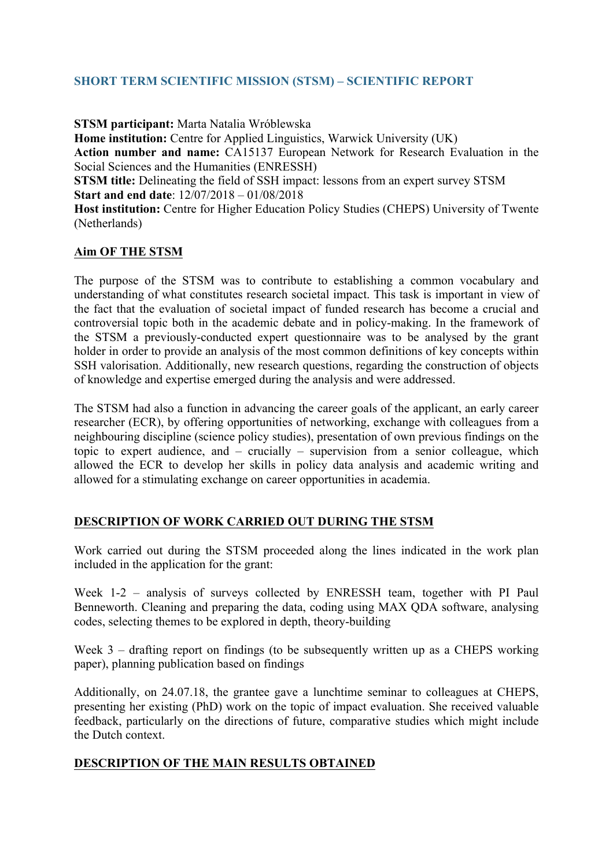## **SHORT TERM SCIENTIFIC MISSION (STSM) – SCIENTIFIC REPORT**

**STSM participant:** Marta Natalia Wróblewska **Home institution:** Centre for Applied Linguistics, Warwick University (UK) **Action number and name:** CA15137 European Network for Research Evaluation in the Social Sciences and the Humanities (ENRESSH) **STSM title:** Delineating the field of SSH impact: lessons from an expert survey STSM **Start and end date**: 12/07/2018 – 01/08/2018 **Host institution:** Centre for Higher Education Policy Studies (CHEPS) University of Twente

## **Aim OF THE STSM**

(Netherlands)

The purpose of the STSM was to contribute to establishing a common vocabulary and understanding of what constitutes research societal impact. This task is important in view of the fact that the evaluation of societal impact of funded research has become a crucial and controversial topic both in the academic debate and in policy-making. In the framework of the STSM a previously-conducted expert questionnaire was to be analysed by the grant holder in order to provide an analysis of the most common definitions of key concepts within SSH valorisation. Additionally, new research questions, regarding the construction of objects of knowledge and expertise emerged during the analysis and were addressed.

The STSM had also a function in advancing the career goals of the applicant, an early career researcher (ECR), by offering opportunities of networking, exchange with colleagues from a neighbouring discipline (science policy studies), presentation of own previous findings on the topic to expert audience, and – crucially – supervision from a senior colleague, which allowed the ECR to develop her skills in policy data analysis and academic writing and allowed for a stimulating exchange on career opportunities in academia.

## **DESCRIPTION OF WORK CARRIED OUT DURING THE STSM**

Work carried out during the STSM proceeded along the lines indicated in the work plan included in the application for the grant:

Week 1-2 – analysis of surveys collected by ENRESSH team, together with PI Paul Benneworth. Cleaning and preparing the data, coding using MAX QDA software, analysing codes, selecting themes to be explored in depth, theory-building

Week 3 – drafting report on findings (to be subsequently written up as a CHEPS working paper), planning publication based on findings

Additionally, on 24.07.18, the grantee gave a lunchtime seminar to colleagues at CHEPS, presenting her existing (PhD) work on the topic of impact evaluation. She received valuable feedback, particularly on the directions of future, comparative studies which might include the Dutch context.

## **DESCRIPTION OF THE MAIN RESULTS OBTAINED**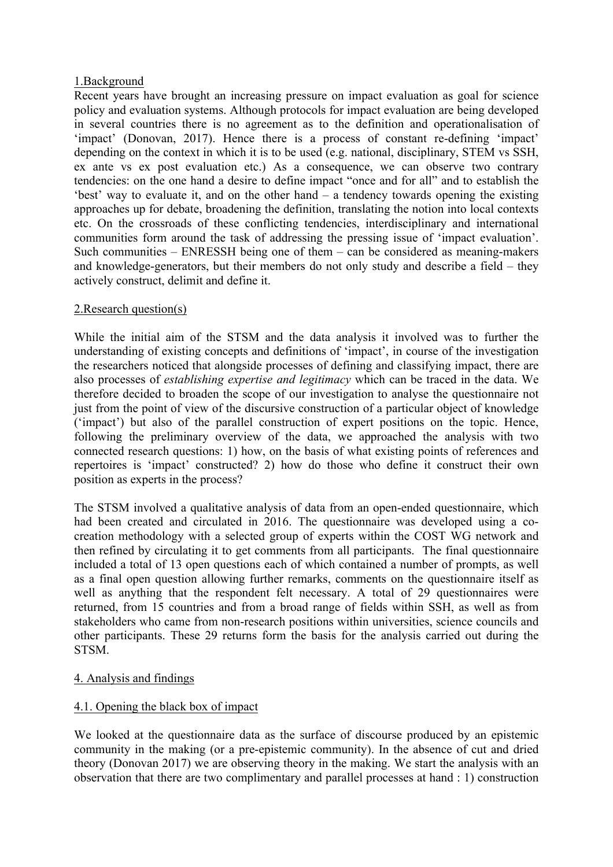#### 1.Background

Recent years have brought an increasing pressure on impact evaluation as goal for science policy and evaluation systems. Although protocols for impact evaluation are being developed in several countries there is no agreement as to the definition and operationalisation of 'impact' (Donovan, 2017). Hence there is a process of constant re-defining 'impact' depending on the context in which it is to be used (e.g. national, disciplinary, STEM vs SSH, ex ante vs ex post evaluation etc.) As a consequence, we can observe two contrary tendencies: on the one hand a desire to define impact "once and for all" and to establish the 'best' way to evaluate it, and on the other hand – a tendency towards opening the existing approaches up for debate, broadening the definition, translating the notion into local contexts etc. On the crossroads of these conflicting tendencies, interdisciplinary and international communities form around the task of addressing the pressing issue of 'impact evaluation'. Such communities – ENRESSH being one of them – can be considered as meaning-makers and knowledge-generators, but their members do not only study and describe a field – they actively construct, delimit and define it.

#### 2.Research question(s)

While the initial aim of the STSM and the data analysis it involved was to further the understanding of existing concepts and definitions of 'impact', in course of the investigation the researchers noticed that alongside processes of defining and classifying impact, there are also processes of *establishing expertise and legitimacy* which can be traced in the data. We therefore decided to broaden the scope of our investigation to analyse the questionnaire not just from the point of view of the discursive construction of a particular object of knowledge ('impact') but also of the parallel construction of expert positions on the topic. Hence, following the preliminary overview of the data, we approached the analysis with two connected research questions: 1) how, on the basis of what existing points of references and repertoires is 'impact' constructed? 2) how do those who define it construct their own position as experts in the process?

The STSM involved a qualitative analysis of data from an open-ended questionnaire, which had been created and circulated in 2016. The questionnaire was developed using a cocreation methodology with a selected group of experts within the COST WG network and then refined by circulating it to get comments from all participants. The final questionnaire included a total of 13 open questions each of which contained a number of prompts, as well as a final open question allowing further remarks, comments on the questionnaire itself as well as anything that the respondent felt necessary. A total of 29 questionnaires were returned, from 15 countries and from a broad range of fields within SSH, as well as from stakeholders who came from non-research positions within universities, science councils and other participants. These 29 returns form the basis for the analysis carried out during the STSM.

## 4. Analysis and findings

## 4.1. Opening the black box of impact

We looked at the questionnaire data as the surface of discourse produced by an epistemic community in the making (or a pre-epistemic community). In the absence of cut and dried theory (Donovan 2017) we are observing theory in the making. We start the analysis with an observation that there are two complimentary and parallel processes at hand : 1) construction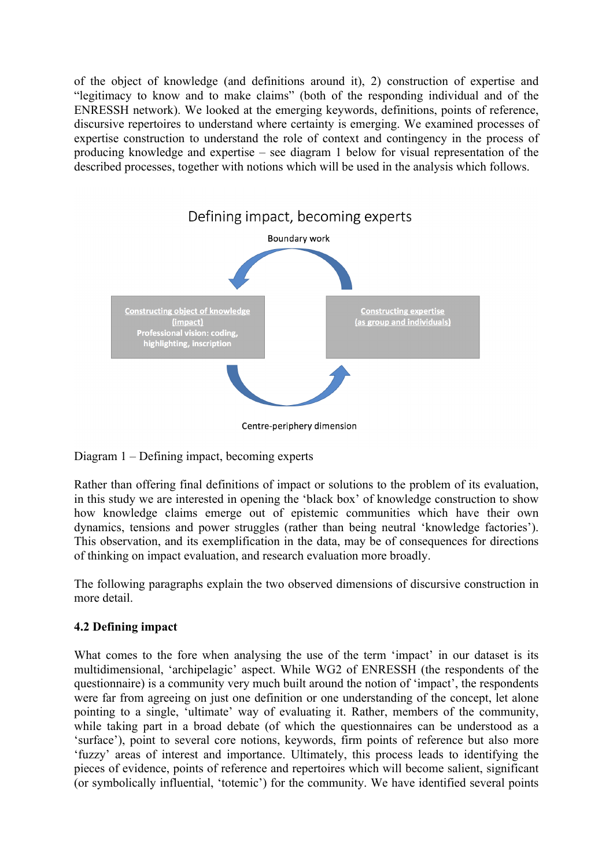of the object of knowledge (and definitions around it), 2) construction of expertise and "legitimacy to know and to make claims" (both of the responding individual and of the ENRESSH network). We looked at the emerging keywords, definitions, points of reference, discursive repertoires to understand where certainty is emerging. We examined processes of expertise construction to understand the role of context and contingency in the process of producing knowledge and expertise – see diagram 1 below for visual representation of the described processes, together with notions which will be used in the analysis which follows.



Diagram 1 – Defining impact, becoming experts

Rather than offering final definitions of impact or solutions to the problem of its evaluation, in this study we are interested in opening the 'black box' of knowledge construction to show how knowledge claims emerge out of epistemic communities which have their own dynamics, tensions and power struggles (rather than being neutral 'knowledge factories'). This observation, and its exemplification in the data, may be of consequences for directions of thinking on impact evaluation, and research evaluation more broadly.

The following paragraphs explain the two observed dimensions of discursive construction in more detail.

# **4.2 Defining impact**

What comes to the fore when analysing the use of the term 'impact' in our dataset is its multidimensional, 'archipelagic' aspect. While WG2 of ENRESSH (the respondents of the questionnaire) is a community very much built around the notion of 'impact', the respondents were far from agreeing on just one definition or one understanding of the concept, let alone pointing to a single, 'ultimate' way of evaluating it. Rather, members of the community, while taking part in a broad debate (of which the questionnaires can be understood as a 'surface'), point to several core notions, keywords, firm points of reference but also more 'fuzzy' areas of interest and importance. Ultimately, this process leads to identifying the pieces of evidence, points of reference and repertoires which will become salient, significant (or symbolically influential, 'totemic') for the community. We have identified several points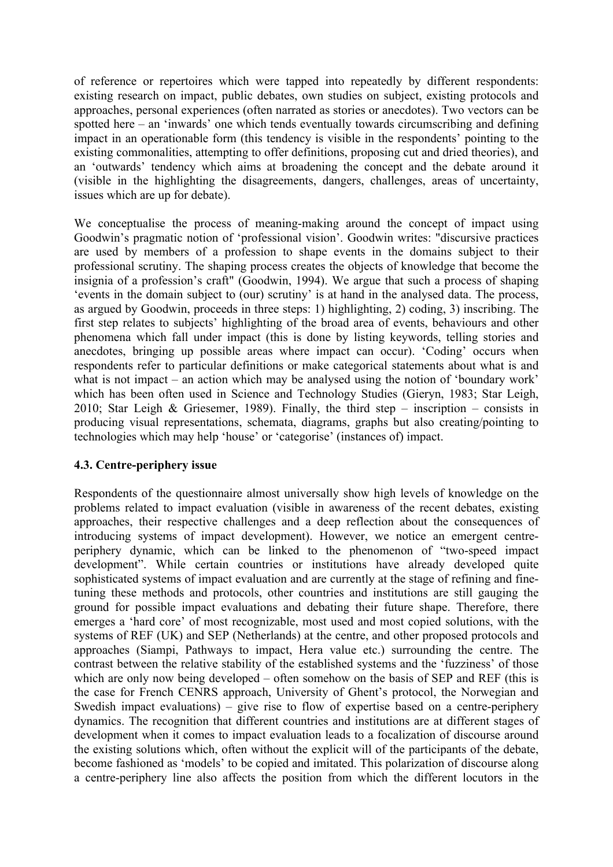of reference or repertoires which were tapped into repeatedly by different respondents: existing research on impact, public debates, own studies on subject, existing protocols and approaches, personal experiences (often narrated as stories or anecdotes). Two vectors can be spotted here – an 'inwards' one which tends eventually towards circumscribing and defining impact in an operationable form (this tendency is visible in the respondents' pointing to the existing commonalities, attempting to offer definitions, proposing cut and dried theories), and an 'outwards' tendency which aims at broadening the concept and the debate around it (visible in the highlighting the disagreements, dangers, challenges, areas of uncertainty, issues which are up for debate).

We conceptualise the process of meaning-making around the concept of impact using Goodwin's pragmatic notion of 'professional vision'. Goodwin writes: "discursive practices are used by members of a profession to shape events in the domains subject to their professional scrutiny. The shaping process creates the objects of knowledge that become the insignia of a profession's craft" (Goodwin, 1994). We argue that such a process of shaping 'events in the domain subject to (our) scrutiny' is at hand in the analysed data. The process, as argued by Goodwin, proceeds in three steps: 1) highlighting, 2) coding, 3) inscribing. The first step relates to subjects' highlighting of the broad area of events, behaviours and other phenomena which fall under impact (this is done by listing keywords, telling stories and anecdotes, bringing up possible areas where impact can occur). 'Coding' occurs when respondents refer to particular definitions or make categorical statements about what is and what is not impact – an action which may be analysed using the notion of 'boundary work' which has been often used in Science and Technology Studies (Gieryn, 1983; Star Leigh, 2010; Star Leigh & Griesemer, 1989). Finally, the third step – inscription – consists in producing visual representations, schemata, diagrams, graphs but also creating/pointing to technologies which may help 'house' or 'categorise' (instances of) impact.

## **4.3. Centre-periphery issue**

Respondents of the questionnaire almost universally show high levels of knowledge on the problems related to impact evaluation (visible in awareness of the recent debates, existing approaches, their respective challenges and a deep reflection about the consequences of introducing systems of impact development). However, we notice an emergent centreperiphery dynamic, which can be linked to the phenomenon of "two-speed impact development". While certain countries or institutions have already developed quite sophisticated systems of impact evaluation and are currently at the stage of refining and finetuning these methods and protocols, other countries and institutions are still gauging the ground for possible impact evaluations and debating their future shape. Therefore, there emerges a 'hard core' of most recognizable, most used and most copied solutions, with the systems of REF (UK) and SEP (Netherlands) at the centre, and other proposed protocols and approaches (Siampi, Pathways to impact, Hera value etc.) surrounding the centre. The contrast between the relative stability of the established systems and the 'fuzziness' of those which are only now being developed – often somehow on the basis of SEP and REF (this is the case for French CENRS approach, University of Ghent's protocol, the Norwegian and Swedish impact evaluations) – give rise to flow of expertise based on a centre-periphery dynamics. The recognition that different countries and institutions are at different stages of development when it comes to impact evaluation leads to a focalization of discourse around the existing solutions which, often without the explicit will of the participants of the debate, become fashioned as 'models' to be copied and imitated. This polarization of discourse along a centre-periphery line also affects the position from which the different locutors in the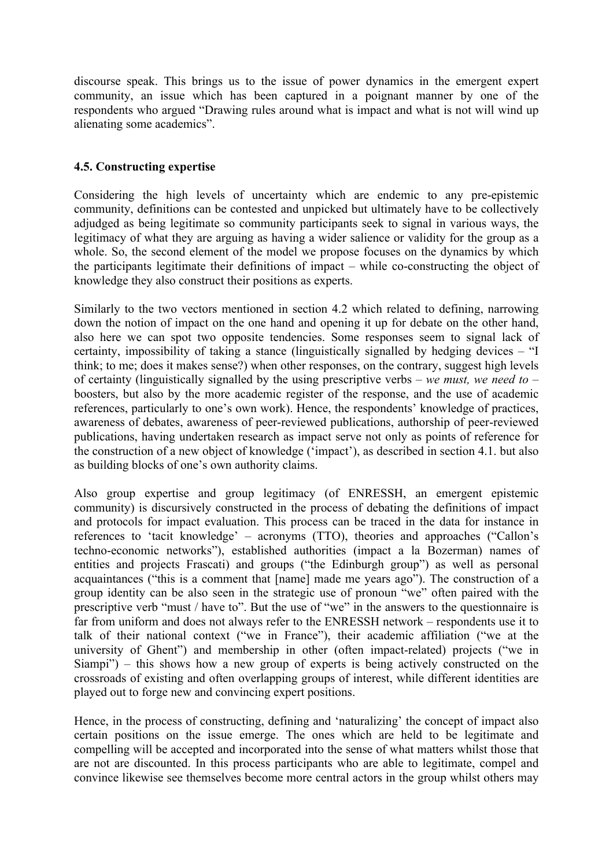discourse speak. This brings us to the issue of power dynamics in the emergent expert community, an issue which has been captured in a poignant manner by one of the respondents who argued "Drawing rules around what is impact and what is not will wind up alienating some academics".

#### **4.5. Constructing expertise**

Considering the high levels of uncertainty which are endemic to any pre-epistemic community, definitions can be contested and unpicked but ultimately have to be collectively adjudged as being legitimate so community participants seek to signal in various ways, the legitimacy of what they are arguing as having a wider salience or validity for the group as a whole. So, the second element of the model we propose focuses on the dynamics by which the participants legitimate their definitions of impact – while co-constructing the object of knowledge they also construct their positions as experts.

Similarly to the two vectors mentioned in section 4.2 which related to defining, narrowing down the notion of impact on the one hand and opening it up for debate on the other hand, also here we can spot two opposite tendencies. Some responses seem to signal lack of certainty, impossibility of taking a stance (linguistically signalled by hedging devices – "I think; to me; does it makes sense?) when other responses, on the contrary, suggest high levels of certainty (linguistically signalled by the using prescriptive verbs – *we must, we need to* – boosters, but also by the more academic register of the response, and the use of academic references, particularly to one's own work). Hence, the respondents' knowledge of practices, awareness of debates, awareness of peer-reviewed publications, authorship of peer-reviewed publications, having undertaken research as impact serve not only as points of reference for the construction of a new object of knowledge ('impact'), as described in section 4.1. but also as building blocks of one's own authority claims.

Also group expertise and group legitimacy (of ENRESSH, an emergent epistemic community) is discursively constructed in the process of debating the definitions of impact and protocols for impact evaluation. This process can be traced in the data for instance in references to 'tacit knowledge' – acronyms (TTO), theories and approaches ("Callon's techno-economic networks"), established authorities (impact a la Bozerman) names of entities and projects Frascati) and groups ("the Edinburgh group") as well as personal acquaintances ("this is a comment that [name] made me years ago"). The construction of a group identity can be also seen in the strategic use of pronoun "we" often paired with the prescriptive verb "must / have to". But the use of "we" in the answers to the questionnaire is far from uniform and does not always refer to the ENRESSH network – respondents use it to talk of their national context ("we in France"), their academic affiliation ("we at the university of Ghent") and membership in other (often impact-related) projects ("we in Siampi") – this shows how a new group of experts is being actively constructed on the crossroads of existing and often overlapping groups of interest, while different identities are played out to forge new and convincing expert positions.

Hence, in the process of constructing, defining and 'naturalizing' the concept of impact also certain positions on the issue emerge. The ones which are held to be legitimate and compelling will be accepted and incorporated into the sense of what matters whilst those that are not are discounted. In this process participants who are able to legitimate, compel and convince likewise see themselves become more central actors in the group whilst others may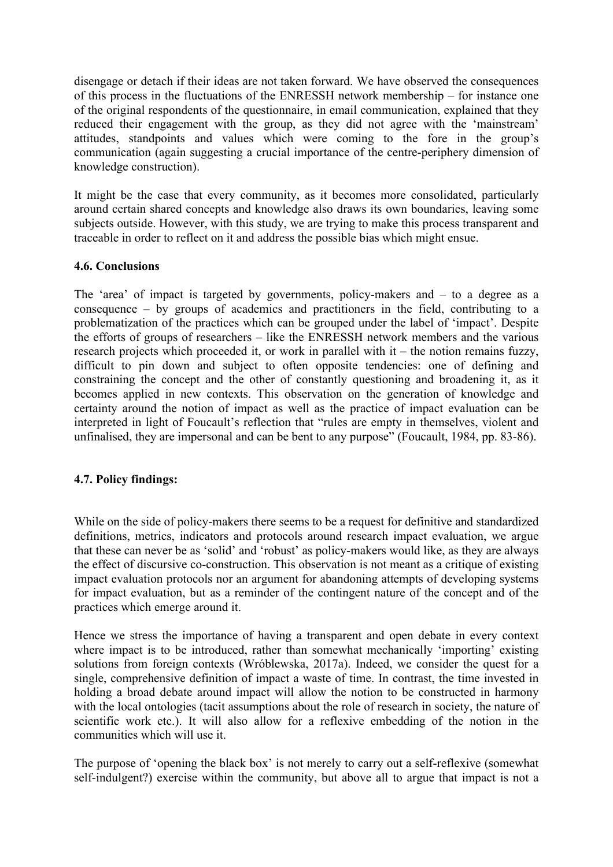disengage or detach if their ideas are not taken forward. We have observed the consequences of this process in the fluctuations of the ENRESSH network membership – for instance one of the original respondents of the questionnaire, in email communication, explained that they reduced their engagement with the group, as they did not agree with the 'mainstream' attitudes, standpoints and values which were coming to the fore in the group's communication (again suggesting a crucial importance of the centre-periphery dimension of knowledge construction).

It might be the case that every community, as it becomes more consolidated, particularly around certain shared concepts and knowledge also draws its own boundaries, leaving some subjects outside. However, with this study, we are trying to make this process transparent and traceable in order to reflect on it and address the possible bias which might ensue.

#### **4.6. Conclusions**

The 'area' of impact is targeted by governments, policy-makers and – to a degree as a consequence – by groups of academics and practitioners in the field, contributing to a problematization of the practices which can be grouped under the label of 'impact'. Despite the efforts of groups of researchers – like the ENRESSH network members and the various research projects which proceeded it, or work in parallel with it – the notion remains fuzzy, difficult to pin down and subject to often opposite tendencies: one of defining and constraining the concept and the other of constantly questioning and broadening it, as it becomes applied in new contexts. This observation on the generation of knowledge and certainty around the notion of impact as well as the practice of impact evaluation can be interpreted in light of Foucault's reflection that "rules are empty in themselves, violent and unfinalised, they are impersonal and can be bent to any purpose" (Foucault, 1984, pp. 83-86).

## **4.7. Policy findings:**

While on the side of policy-makers there seems to be a request for definitive and standardized definitions, metrics, indicators and protocols around research impact evaluation, we argue that these can never be as 'solid' and 'robust' as policy-makers would like, as they are always the effect of discursive co-construction. This observation is not meant as a critique of existing impact evaluation protocols nor an argument for abandoning attempts of developing systems for impact evaluation, but as a reminder of the contingent nature of the concept and of the practices which emerge around it.

Hence we stress the importance of having a transparent and open debate in every context where impact is to be introduced, rather than somewhat mechanically 'importing' existing solutions from foreign contexts (Wróblewska, 2017a). Indeed, we consider the quest for a single, comprehensive definition of impact a waste of time. In contrast, the time invested in holding a broad debate around impact will allow the notion to be constructed in harmony with the local ontologies (tacit assumptions about the role of research in society, the nature of scientific work etc.). It will also allow for a reflexive embedding of the notion in the communities which will use it.

The purpose of 'opening the black box' is not merely to carry out a self-reflexive (somewhat self-indulgent?) exercise within the community, but above all to argue that impact is not a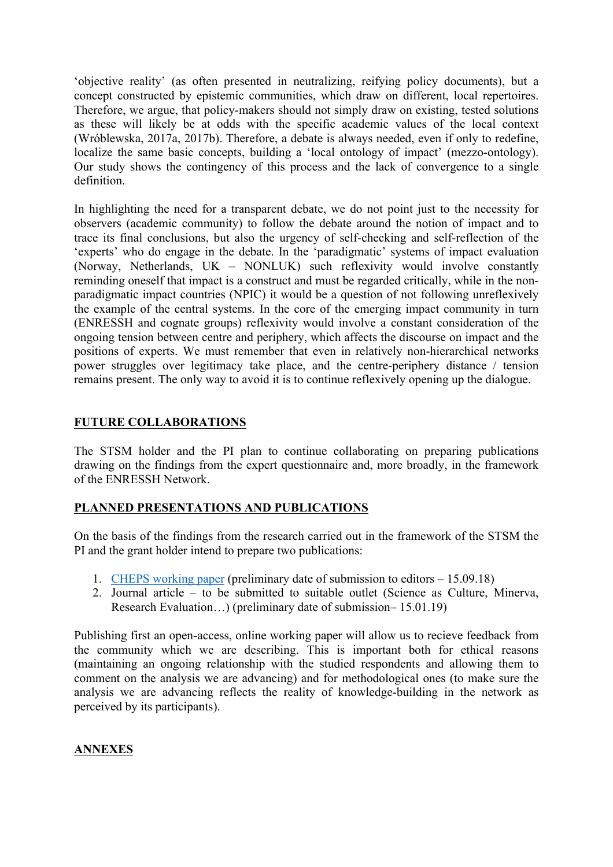'objective reality' (as often presented in neutralizing, reifying policy documents), but a concept constructed by epistemic communities, which draw on different, local repertoires. Therefore, we argue, that policy-makers should not simply draw on existing, tested solutions as these will likely be at odds with the specific academic values of the local context (Wróblewska, 2017a, 2017b). Therefore, a debate is always needed, even if only to redefine, localize the same basic concepts, building a 'local ontology of impact' (mezzo-ontology). Our study shows the contingency of this process and the lack of convergence to a single definition.

In highlighting the need for a transparent debate, we do not point just to the necessity for observers (academic community) to follow the debate around the notion of impact and to trace its final conclusions, but also the urgency of self-checking and self-reflection of the 'experts' who do engage in the debate. In the 'paradigmatic' systems of impact evaluation (Norway, Netherlands, UK – NONLUK) such reflexivity would involve constantly reminding oneself that impact is a construct and must be regarded critically, while in the nonparadigmatic impact countries (NPIC) it would be a question of not following unreflexively the example of the central systems. In the core of the emerging impact community in turn (ENRESSH and cognate groups) reflexivity would involve a constant consideration of the ongoing tension between centre and periphery, which affects the discourse on impact and the positions of experts. We must remember that even in relatively non-hierarchical networks power struggles over legitimacy take place, and the centre-periphery distance / tension remains present. The only way to avoid it is to continue reflexively opening up the dialogue.

## **FUTURE COLLABORATIONS**

The STSM holder and the PI plan to continue collaborating on preparing publications drawing on the findings from the expert questionnaire and, more broadly, in the framework of the ENRESSH Network.

## **PLANNED PRESENTATIONS AND PUBLICATIONS**

On the basis of the findings from the research carried out in the framework of the STSM the PI and the grant holder intend to prepare two publications:

- 1. CHEPS working paper (preliminary date of submission to editors 15.09.18)
- 2. Journal article to be submitted to suitable outlet (Science as Culture, Minerva, Research Evaluation…) (preliminary date of submission– 15.01.19)

Publishing first an open-access, online working paper will allow us to recieve feedback from the community which we are describing. This is important both for ethical reasons (maintaining an ongoing relationship with the studied respondents and allowing them to comment on the analysis we are advancing) and for methodological ones (to make sure the analysis we are advancing reflects the reality of knowledge-building in the network as perceived by its participants).

# **ANNEXES**